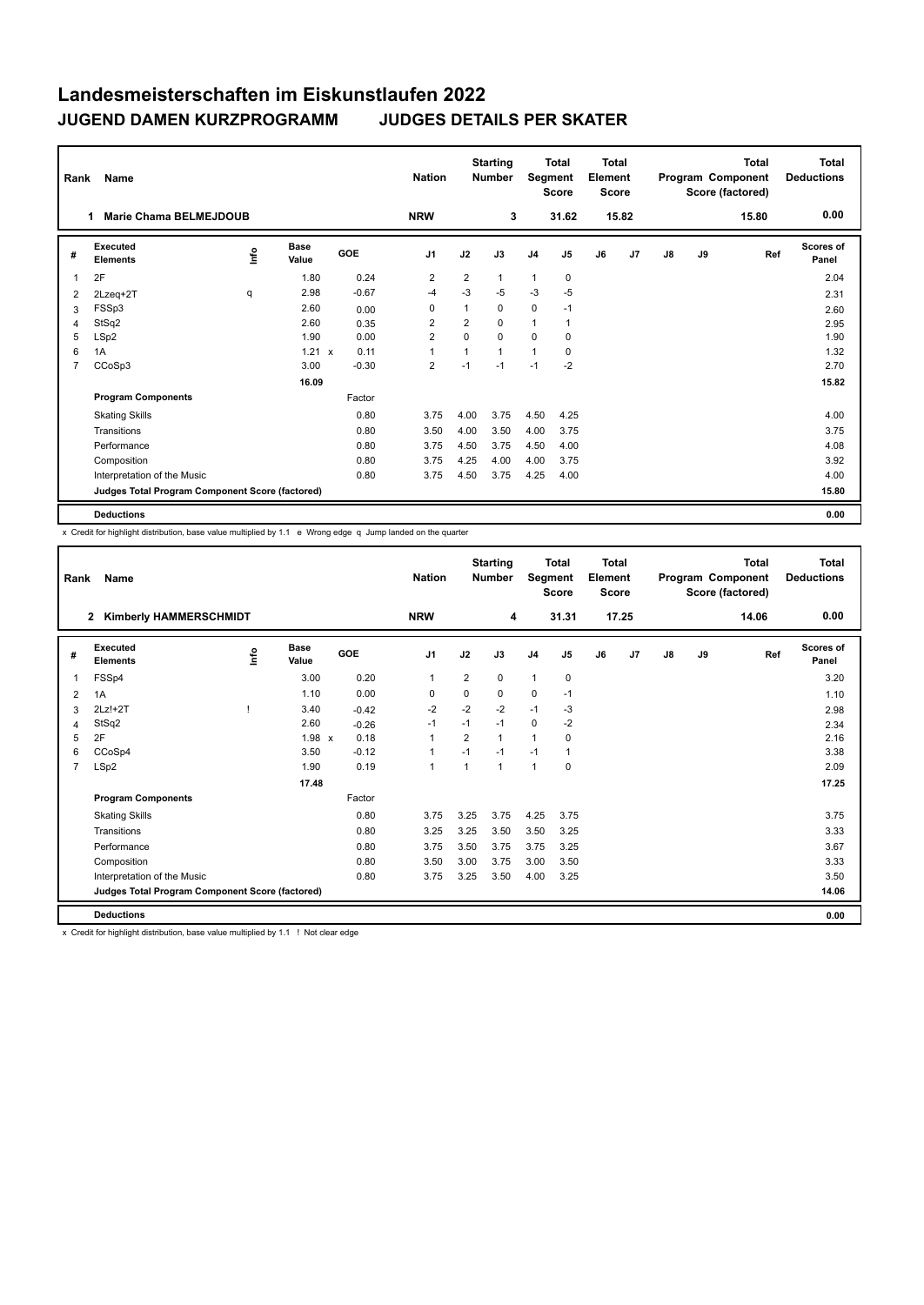| Rank           | Name                                            |      |                      |         |                | <b>Starting</b><br><b>Nation</b><br><b>Number</b> |              | <b>Total</b><br>Segment<br><b>Score</b> |                | <b>Total</b><br>Element<br><b>Score</b> |                | <b>Total</b><br>Program Component<br>Score (factored) |    |       | Total<br><b>Deductions</b> |
|----------------|-------------------------------------------------|------|----------------------|---------|----------------|---------------------------------------------------|--------------|-----------------------------------------|----------------|-----------------------------------------|----------------|-------------------------------------------------------|----|-------|----------------------------|
|                | <b>Marie Chama BELMEJDOUB</b><br>1              |      |                      |         | <b>NRW</b>     |                                                   | 3            |                                         | 31.62          |                                         | 15.82          |                                                       |    | 15.80 | 0.00                       |
| #              | Executed<br><b>Elements</b>                     | lnfo | <b>Base</b><br>Value | GOE     | J <sub>1</sub> | J2                                                | J3           | J <sub>4</sub>                          | J <sub>5</sub> | J6                                      | J <sub>7</sub> | J8                                                    | J9 | Ref   | <b>Scores of</b><br>Panel  |
| 1              | 2F                                              |      | 1.80                 | 0.24    | $\overline{2}$ | $\overline{2}$                                    | $\mathbf{1}$ | 1                                       | 0              |                                         |                |                                                       |    |       | 2.04                       |
| 2              | 2Lzeq+2T                                        | q    | 2.98                 | $-0.67$ | -4             | $-3$                                              | $-5$         | $-3$                                    | $-5$           |                                         |                |                                                       |    |       | 2.31                       |
| 3              | FSSp3                                           |      | 2.60                 | 0.00    | 0              |                                                   | 0            | $\mathbf 0$                             | $-1$           |                                         |                |                                                       |    |       | 2.60                       |
| 4              | StSq2                                           |      | 2.60                 | 0.35    | 2              | $\overline{2}$                                    | $\Omega$     | 1                                       | 1              |                                         |                |                                                       |    |       | 2.95                       |
| 5              | LSp2                                            |      | 1.90                 | 0.00    | $\overline{2}$ | $\Omega$                                          | $\Omega$     | $\Omega$                                | $\Omega$       |                                         |                |                                                       |    |       | 1.90                       |
| 6              | 1A                                              |      | 1.21 x               | 0.11    | $\overline{1}$ | 1                                                 | $\mathbf{1}$ | $\mathbf{1}$                            | $\mathbf 0$    |                                         |                |                                                       |    |       | 1.32                       |
| $\overline{7}$ | CCoSp3                                          |      | 3.00                 | $-0.30$ | $\overline{2}$ | $-1$                                              | $-1$         | $-1$                                    | $-2$           |                                         |                |                                                       |    |       | 2.70                       |
|                |                                                 |      | 16.09                |         |                |                                                   |              |                                         |                |                                         |                |                                                       |    |       | 15.82                      |
|                | <b>Program Components</b>                       |      |                      | Factor  |                |                                                   |              |                                         |                |                                         |                |                                                       |    |       |                            |
|                | <b>Skating Skills</b>                           |      |                      | 0.80    | 3.75           | 4.00                                              | 3.75         | 4.50                                    | 4.25           |                                         |                |                                                       |    |       | 4.00                       |
|                | Transitions                                     |      |                      | 0.80    | 3.50           | 4.00                                              | 3.50         | 4.00                                    | 3.75           |                                         |                |                                                       |    |       | 3.75                       |
|                | Performance                                     |      |                      | 0.80    | 3.75           | 4.50                                              | 3.75         | 4.50                                    | 4.00           |                                         |                |                                                       |    |       | 4.08                       |
|                | Composition                                     |      |                      | 0.80    | 3.75           | 4.25                                              | 4.00         | 4.00                                    | 3.75           |                                         |                |                                                       |    |       | 3.92                       |
|                | Interpretation of the Music                     |      |                      | 0.80    | 3.75           | 4.50                                              | 3.75         | 4.25                                    | 4.00           |                                         |                |                                                       |    |       | 4.00                       |
|                | Judges Total Program Component Score (factored) |      |                      |         |                |                                                   |              |                                         |                |                                         |                |                                                       |    |       | 15.80                      |
|                | <b>Deductions</b>                               |      |                      |         |                |                                                   |              |                                         |                |                                         |                |                                                       |    |       | 0.00                       |

x Credit for highlight distribution, base value multiplied by 1.1 e Wrong edge q Jump landed on the quarter

| Rank           | Name                                            |   |                      |         | <b>Nation</b>  |                | <b>Starting</b><br><b>Number</b> | Segment        | <b>Total</b><br><b>Score</b> | Total<br>Element<br><b>Score</b> |       |    |    | Total<br>Program Component<br>Score (factored) | <b>Total</b><br><b>Deductions</b> |
|----------------|-------------------------------------------------|---|----------------------|---------|----------------|----------------|----------------------------------|----------------|------------------------------|----------------------------------|-------|----|----|------------------------------------------------|-----------------------------------|
|                | <b>Kimberly HAMMERSCHMIDT</b><br>$\mathbf{2}$   |   |                      |         | <b>NRW</b>     |                | 4                                |                | 31.31                        |                                  | 17.25 |    |    | 14.06                                          | 0.00                              |
| #              | Executed<br><b>Elements</b>                     | ۴ | <b>Base</b><br>Value | GOE     | J <sub>1</sub> | J2             | J3                               | J <sub>4</sub> | J <sub>5</sub>               | J6                               | J7    | J8 | J9 | Ref                                            | <b>Scores of</b><br>Panel         |
|                | FSSp4                                           |   | 3.00                 | 0.20    | 1              | $\overline{2}$ | 0                                | $\mathbf{1}$   | 0                            |                                  |       |    |    |                                                | 3.20                              |
| 2              | 1A                                              |   | 1.10                 | 0.00    | $\mathbf 0$    | 0              | 0                                | 0              | $-1$                         |                                  |       |    |    |                                                | 1.10                              |
| 3              | $2Lz!+2T$                                       |   | 3.40                 | $-0.42$ | $-2$           | $-2$           | $-2$                             | $-1$           | $-3$                         |                                  |       |    |    |                                                | 2.98                              |
| 4              | StSq2                                           |   | 2.60                 | $-0.26$ | $-1$           | $-1$           | $-1$                             | 0              | $-2$                         |                                  |       |    |    |                                                | 2.34                              |
| 5              | 2F                                              |   | $1.98 \times$        | 0.18    | 1              | $\overline{2}$ | 1                                | $\mathbf{1}$   | 0                            |                                  |       |    |    |                                                | 2.16                              |
| 6              | CCoSp4                                          |   | 3.50                 | $-0.12$ | 1              | $-1$           | $-1$                             | $-1$           | 1                            |                                  |       |    |    |                                                | 3.38                              |
| $\overline{7}$ | LSp2                                            |   | 1.90                 | 0.19    | 1              | -1             | 1                                | $\mathbf{1}$   | 0                            |                                  |       |    |    |                                                | 2.09                              |
|                |                                                 |   | 17.48                |         |                |                |                                  |                |                              |                                  |       |    |    |                                                | 17.25                             |
|                | <b>Program Components</b>                       |   |                      | Factor  |                |                |                                  |                |                              |                                  |       |    |    |                                                |                                   |
|                | <b>Skating Skills</b>                           |   |                      | 0.80    | 3.75           | 3.25           | 3.75                             | 4.25           | 3.75                         |                                  |       |    |    |                                                | 3.75                              |
|                | Transitions                                     |   |                      | 0.80    | 3.25           | 3.25           | 3.50                             | 3.50           | 3.25                         |                                  |       |    |    |                                                | 3.33                              |
|                | Performance                                     |   |                      | 0.80    | 3.75           | 3.50           | 3.75                             | 3.75           | 3.25                         |                                  |       |    |    |                                                | 3.67                              |
|                | Composition                                     |   |                      | 0.80    | 3.50           | 3.00           | 3.75                             | 3.00           | 3.50                         |                                  |       |    |    |                                                | 3.33                              |
|                | Interpretation of the Music                     |   |                      | 0.80    | 3.75           | 3.25           | 3.50                             | 4.00           | 3.25                         |                                  |       |    |    |                                                | 3.50                              |
|                | Judges Total Program Component Score (factored) |   |                      |         |                |                |                                  |                |                              |                                  |       |    |    |                                                | 14.06                             |
|                | <b>Deductions</b>                               |   |                      |         |                |                |                                  |                |                              |                                  |       |    |    |                                                | 0.00                              |

x Credit for highlight distribution, base value multiplied by 1.1 ! Not clear edge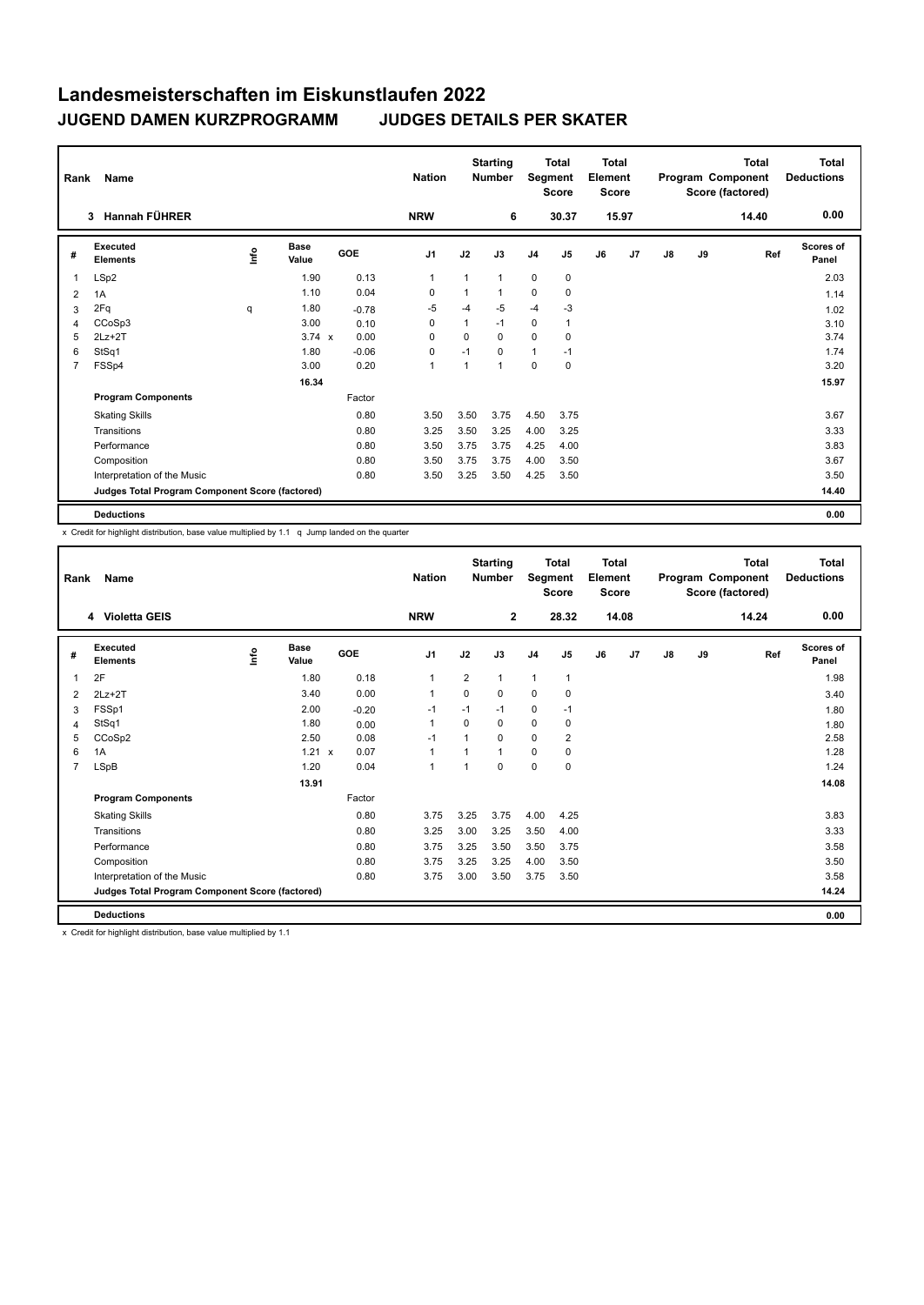| Rank           | Name                                            |      |                      |         | <b>Nation</b>  | <b>Starting</b><br><b>Number</b> |              | <b>Total</b><br>Segment<br><b>Score</b> |              | <b>Total</b><br>Element<br><b>Score</b> |       | Total<br>Program Component<br>Score (factored) |    |       | <b>Total</b><br><b>Deductions</b> |
|----------------|-------------------------------------------------|------|----------------------|---------|----------------|----------------------------------|--------------|-----------------------------------------|--------------|-----------------------------------------|-------|------------------------------------------------|----|-------|-----------------------------------|
|                | 3 Hannah FÜHRER                                 |      |                      |         | <b>NRW</b>     |                                  | 6            |                                         | 30.37        |                                         | 15.97 |                                                |    | 14.40 | 0.00                              |
| #              | Executed<br><b>Elements</b>                     | lnfo | <b>Base</b><br>Value | GOE     | J <sub>1</sub> | J2                               | J3           | J <sub>4</sub>                          | J5           | J6                                      | J7    | $\mathsf{J}8$                                  | J9 | Ref   | Scores of<br>Panel                |
| 1              | LSp2                                            |      | 1.90                 | 0.13    | $\mathbf 1$    | $\mathbf{1}$                     | $\mathbf{1}$ | $\mathbf 0$                             | $\mathbf 0$  |                                         |       |                                                |    |       | 2.03                              |
| 2              | 1A                                              |      | 1.10                 | 0.04    | 0              |                                  | 1            | 0                                       | 0            |                                         |       |                                                |    |       | 1.14                              |
| 3              | 2Fq                                             | q    | 1.80                 | $-0.78$ | $-5$           | $-4$                             | -5           | $-4$                                    | $-3$         |                                         |       |                                                |    |       | 1.02                              |
| 4              | CCoSp3                                          |      | 3.00                 | 0.10    | 0              | $\mathbf{1}$                     | $-1$         | $\mathbf 0$                             | $\mathbf{1}$ |                                         |       |                                                |    |       | 3.10                              |
| 5              | $2Lz+2T$                                        |      | $3.74 \times$        | 0.00    | 0              | 0                                | $\Omega$     | 0                                       | 0            |                                         |       |                                                |    |       | 3.74                              |
| 6              | StSq1                                           |      | 1.80                 | $-0.06$ | $\Omega$       | $-1$                             | $\Omega$     | 1                                       | $-1$         |                                         |       |                                                |    |       | 1.74                              |
| $\overline{7}$ | FSSp4                                           |      | 3.00                 | 0.20    | $\mathbf{1}$   | $\mathbf{1}$                     | $\mathbf{1}$ | 0                                       | $\mathbf 0$  |                                         |       |                                                |    |       | 3.20                              |
|                |                                                 |      | 16.34                |         |                |                                  |              |                                         |              |                                         |       |                                                |    |       | 15.97                             |
|                | <b>Program Components</b>                       |      |                      | Factor  |                |                                  |              |                                         |              |                                         |       |                                                |    |       |                                   |
|                | <b>Skating Skills</b>                           |      |                      | 0.80    | 3.50           | 3.50                             | 3.75         | 4.50                                    | 3.75         |                                         |       |                                                |    |       | 3.67                              |
|                | Transitions                                     |      |                      | 0.80    | 3.25           | 3.50                             | 3.25         | 4.00                                    | 3.25         |                                         |       |                                                |    |       | 3.33                              |
|                | Performance                                     |      |                      | 0.80    | 3.50           | 3.75                             | 3.75         | 4.25                                    | 4.00         |                                         |       |                                                |    |       | 3.83                              |
|                | Composition                                     |      |                      | 0.80    | 3.50           | 3.75                             | 3.75         | 4.00                                    | 3.50         |                                         |       |                                                |    |       | 3.67                              |
|                | Interpretation of the Music                     |      |                      | 0.80    | 3.50           | 3.25                             | 3.50         | 4.25                                    | 3.50         |                                         |       |                                                |    |       | 3.50                              |
|                | Judges Total Program Component Score (factored) |      |                      |         |                |                                  |              |                                         |              |                                         |       |                                                |    |       | 14.40                             |
|                | <b>Deductions</b>                               |      |                      |         |                |                                  |              |                                         |              |                                         |       |                                                |    |       | 0.00                              |

x Credit for highlight distribution, base value multiplied by 1.1 q Jump landed on the quarter

| Rank           | <b>Name</b>                                     |             |                      |         | <b>Nation</b>  |                | <b>Starting</b><br><b>Number</b> | Segment        | <b>Total</b><br><b>Score</b> | Total<br>Element<br><b>Score</b> |       |    |    | <b>Total</b><br>Program Component<br>Score (factored) | <b>Total</b><br><b>Deductions</b> |
|----------------|-------------------------------------------------|-------------|----------------------|---------|----------------|----------------|----------------------------------|----------------|------------------------------|----------------------------------|-------|----|----|-------------------------------------------------------|-----------------------------------|
|                | 4 Violetta GEIS                                 |             |                      |         | <b>NRW</b>     |                | $\mathbf{2}$                     |                | 28.32                        |                                  | 14.08 |    |    | 14.24                                                 | 0.00                              |
| #              | Executed<br><b>Elements</b>                     | <u>info</u> | <b>Base</b><br>Value | GOE     | J <sub>1</sub> | J2             | J3                               | J <sub>4</sub> | J <sub>5</sub>               | J6                               | J7    | J8 | J9 | Ref                                                   | <b>Scores of</b><br>Panel         |
| 1              | 2F                                              |             | 1.80                 | 0.18    | 1              | $\overline{2}$ | 1                                | $\mathbf{1}$   | $\mathbf{1}$                 |                                  |       |    |    |                                                       | 1.98                              |
| 2              | $2Lz+2T$                                        |             | 3.40                 | 0.00    | $\mathbf{1}$   | $\Omega$       | 0                                | $\Omega$       | 0                            |                                  |       |    |    |                                                       | 3.40                              |
| 3              | FSSp1                                           |             | 2.00                 | $-0.20$ | $-1$           | $-1$           | $-1$                             | 0              | $-1$                         |                                  |       |    |    |                                                       | 1.80                              |
| 4              | StSq1                                           |             | 1.80                 | 0.00    | $\mathbf{1}$   | $\Omega$       | $\Omega$                         | $\mathbf 0$    | 0                            |                                  |       |    |    |                                                       | 1.80                              |
| 5              | CCoSp2                                          |             | 2.50                 | 0.08    | $-1$           | $\overline{ }$ | $\Omega$                         | $\Omega$       | $\overline{2}$               |                                  |       |    |    |                                                       | 2.58                              |
| 6              | 1A                                              |             | 1.21 x               | 0.07    | $\mathbf{1}$   |                | $\overline{1}$                   | 0              | 0                            |                                  |       |    |    |                                                       | 1.28                              |
| $\overline{7}$ | LSpB                                            |             | 1.20                 | 0.04    | $\mathbf{1}$   | 1              | 0                                | $\Omega$       | $\Omega$                     |                                  |       |    |    |                                                       | 1.24                              |
|                |                                                 |             | 13.91                |         |                |                |                                  |                |                              |                                  |       |    |    |                                                       | 14.08                             |
|                | <b>Program Components</b>                       |             |                      | Factor  |                |                |                                  |                |                              |                                  |       |    |    |                                                       |                                   |
|                | <b>Skating Skills</b>                           |             |                      | 0.80    | 3.75           | 3.25           | 3.75                             | 4.00           | 4.25                         |                                  |       |    |    |                                                       | 3.83                              |
|                | Transitions                                     |             |                      | 0.80    | 3.25           | 3.00           | 3.25                             | 3.50           | 4.00                         |                                  |       |    |    |                                                       | 3.33                              |
|                | Performance                                     |             |                      | 0.80    | 3.75           | 3.25           | 3.50                             | 3.50           | 3.75                         |                                  |       |    |    |                                                       | 3.58                              |
|                | Composition                                     |             |                      | 0.80    | 3.75           | 3.25           | 3.25                             | 4.00           | 3.50                         |                                  |       |    |    |                                                       | 3.50                              |
|                | Interpretation of the Music                     |             |                      | 0.80    | 3.75           | 3.00           | 3.50                             | 3.75           | 3.50                         |                                  |       |    |    |                                                       | 3.58                              |
|                | Judges Total Program Component Score (factored) |             |                      |         |                |                |                                  |                |                              |                                  |       |    |    |                                                       | 14.24                             |
|                | <b>Deductions</b>                               |             |                      |         |                |                |                                  |                |                              |                                  |       |    |    |                                                       | 0.00                              |

x Credit for highlight distribution, base value multiplied by 1.1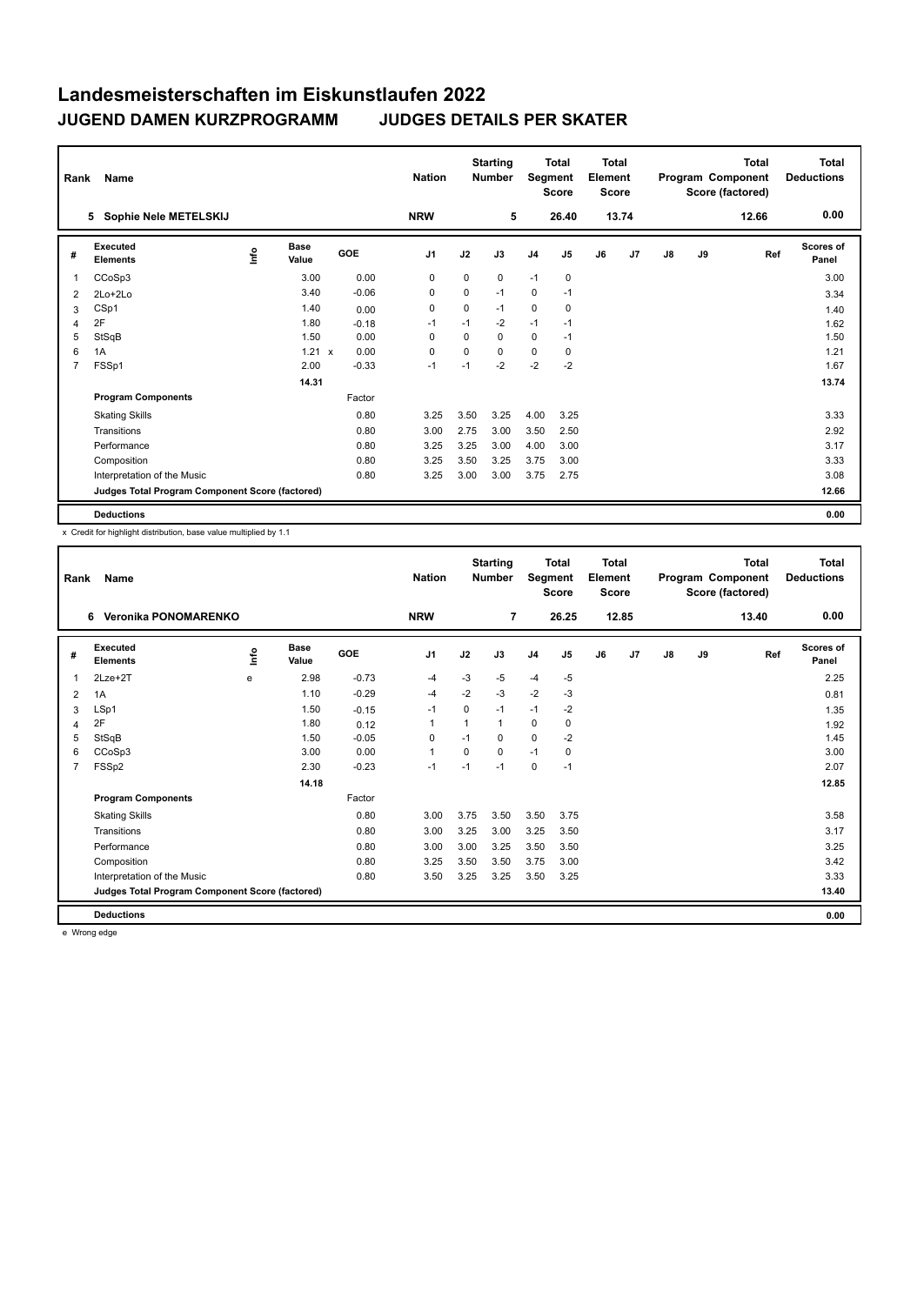| Rank           | Name                                            |      |                      |            | <b>Nation</b>  |             | <b>Starting</b><br><b>Number</b> | Segment        | <b>Total</b><br><b>Score</b> | <b>Total</b><br>Element<br><b>Score</b> |                |               |    | <b>Total</b><br>Program Component<br>Score (factored) | <b>Total</b><br><b>Deductions</b> |
|----------------|-------------------------------------------------|------|----------------------|------------|----------------|-------------|----------------------------------|----------------|------------------------------|-----------------------------------------|----------------|---------------|----|-------------------------------------------------------|-----------------------------------|
|                | Sophie Nele METELSKIJ<br>5                      |      |                      |            | <b>NRW</b>     |             | 5                                |                | 26.40                        |                                         | 13.74          |               |    | 12.66                                                 | 0.00                              |
| #              | Executed<br><b>Elements</b>                     | ١nf٥ | <b>Base</b><br>Value | <b>GOE</b> | J <sub>1</sub> | J2          | J3                               | J <sub>4</sub> | J <sub>5</sub>               | J6                                      | J <sub>7</sub> | $\mathsf{J}8$ | J9 | Ref                                                   | <b>Scores of</b><br>Panel         |
| $\overline{1}$ | CCoSp3                                          |      | 3.00                 | 0.00       | 0              | 0           | 0                                | $-1$           | 0                            |                                         |                |               |    |                                                       | 3.00                              |
| 2              | $2Lo+2Lo$                                       |      | 3.40                 | $-0.06$    | 0              | $\mathbf 0$ | $-1$                             | $\mathbf 0$    | $-1$                         |                                         |                |               |    |                                                       | 3.34                              |
| 3              | CSp1                                            |      | 1.40                 | 0.00       | 0              | 0           | $-1$                             | 0              | 0                            |                                         |                |               |    |                                                       | 1.40                              |
| 4              | 2F                                              |      | 1.80                 | $-0.18$    | $-1$           | $-1$        | $-2$                             | $-1$           | $-1$                         |                                         |                |               |    |                                                       | 1.62                              |
| 5              | StSqB                                           |      | 1.50                 | 0.00       | $\Omega$       | $\Omega$    | $\Omega$                         | $\mathbf 0$    | $-1$                         |                                         |                |               |    |                                                       | 1.50                              |
| 6              | 1A                                              |      | $1.21 \times$        | 0.00       | 0              | 0           | 0                                | $\mathbf 0$    | 0                            |                                         |                |               |    |                                                       | 1.21                              |
| $\overline{7}$ | FSSp1                                           |      | 2.00                 | $-0.33$    | $-1$           | $-1$        | $-2$                             | $-2$           | $-2$                         |                                         |                |               |    |                                                       | 1.67                              |
|                |                                                 |      | 14.31                |            |                |             |                                  |                |                              |                                         |                |               |    |                                                       | 13.74                             |
|                | <b>Program Components</b>                       |      |                      | Factor     |                |             |                                  |                |                              |                                         |                |               |    |                                                       |                                   |
|                | <b>Skating Skills</b>                           |      |                      | 0.80       | 3.25           | 3.50        | 3.25                             | 4.00           | 3.25                         |                                         |                |               |    |                                                       | 3.33                              |
|                | Transitions                                     |      |                      | 0.80       | 3.00           | 2.75        | 3.00                             | 3.50           | 2.50                         |                                         |                |               |    |                                                       | 2.92                              |
|                | Performance                                     |      |                      | 0.80       | 3.25           | 3.25        | 3.00                             | 4.00           | 3.00                         |                                         |                |               |    |                                                       | 3.17                              |
|                | Composition                                     |      |                      | 0.80       | 3.25           | 3.50        | 3.25                             | 3.75           | 3.00                         |                                         |                |               |    |                                                       | 3.33                              |
|                | Interpretation of the Music                     |      |                      | 0.80       | 3.25           | 3.00        | 3.00                             | 3.75           | 2.75                         |                                         |                |               |    |                                                       | 3.08                              |
|                | Judges Total Program Component Score (factored) |      |                      |            |                |             |                                  |                |                              |                                         |                |               |    |                                                       | 12.66                             |
|                | <b>Deductions</b>                               |      |                      |            |                |             |                                  |                |                              |                                         |                |               |    |                                                       | 0.00                              |

x Credit for highlight distribution, base value multiplied by 1.1

| Rank           | Name                                            |   |                      |         | <b>Nation</b>  |          | <b>Starting</b><br><b>Number</b> | <b>Total</b><br>Segment<br><b>Score</b><br>26.25 |                | Total<br>Element<br><b>Score</b> |       |               |    | <b>Total</b><br>Program Component<br>Score (factored) | <b>Total</b><br><b>Deductions</b> |
|----------------|-------------------------------------------------|---|----------------------|---------|----------------|----------|----------------------------------|--------------------------------------------------|----------------|----------------------------------|-------|---------------|----|-------------------------------------------------------|-----------------------------------|
|                | Veronika PONOMARENKO<br>6                       |   |                      |         | <b>NRW</b>     |          | $\overline{7}$                   |                                                  |                |                                  | 12.85 |               |    | 13.40                                                 | 0.00                              |
| #              | Executed<br><b>Elements</b>                     | ۴ | <b>Base</b><br>Value | GOE     | J <sub>1</sub> | J2       | J3                               | J <sub>4</sub>                                   | J <sub>5</sub> | J6                               | J7    | $\mathsf{J}8$ | J9 | Ref                                                   | <b>Scores of</b><br>Panel         |
| 1              | $2$ Lze $+2$ T                                  | e | 2.98                 | $-0.73$ | $-4$           | $-3$     | $-5$                             | $-4$                                             | $-5$           |                                  |       |               |    |                                                       | 2.25                              |
| 2              | 1A                                              |   | 1.10                 | $-0.29$ | $-4$           | $-2$     | $-3$                             | $-2$                                             | $-3$           |                                  |       |               |    |                                                       | 0.81                              |
| 3              | LSp1                                            |   | 1.50                 | $-0.15$ | $-1$           | 0        | $-1$                             | $-1$                                             | $-2$           |                                  |       |               |    |                                                       | 1.35                              |
| 4              | 2F                                              |   | 1.80                 | 0.12    | 1              |          | 1                                | 0                                                | 0              |                                  |       |               |    |                                                       | 1.92                              |
| 5              | StSqB                                           |   | 1.50                 | $-0.05$ | $\Omega$       | $-1$     | 0                                | 0                                                | $-2$           |                                  |       |               |    |                                                       | 1.45                              |
| 6              | CCoSp3                                          |   | 3.00                 | 0.00    | 1              | $\Omega$ | 0                                | $-1$                                             | 0              |                                  |       |               |    |                                                       | 3.00                              |
| $\overline{7}$ | FSSp2                                           |   | 2.30                 | $-0.23$ | $-1$           | $-1$     | $-1$                             | 0                                                | $-1$           |                                  |       |               |    |                                                       | 2.07                              |
|                |                                                 |   | 14.18                |         |                |          |                                  |                                                  |                |                                  |       |               |    |                                                       | 12.85                             |
|                | <b>Program Components</b>                       |   |                      | Factor  |                |          |                                  |                                                  |                |                                  |       |               |    |                                                       |                                   |
|                | <b>Skating Skills</b>                           |   |                      | 0.80    | 3.00           | 3.75     | 3.50                             | 3.50                                             | 3.75           |                                  |       |               |    |                                                       | 3.58                              |
|                | Transitions                                     |   |                      | 0.80    | 3.00           | 3.25     | 3.00                             | 3.25                                             | 3.50           |                                  |       |               |    |                                                       | 3.17                              |
|                | Performance                                     |   |                      | 0.80    | 3.00           | 3.00     | 3.25                             | 3.50                                             | 3.50           |                                  |       |               |    |                                                       | 3.25                              |
|                | Composition                                     |   |                      | 0.80    | 3.25           | 3.50     | 3.50                             | 3.75                                             | 3.00           |                                  |       |               |    |                                                       | 3.42                              |
|                | Interpretation of the Music                     |   |                      | 0.80    | 3.50           | 3.25     | 3.25                             | 3.50                                             | 3.25           |                                  |       |               |    |                                                       | 3.33                              |
|                | Judges Total Program Component Score (factored) |   |                      |         |                |          |                                  |                                                  |                |                                  |       |               |    |                                                       | 13.40                             |
|                | <b>Deductions</b>                               |   |                      |         |                |          |                                  |                                                  |                |                                  |       |               |    |                                                       | 0.00                              |

e Wrong edge